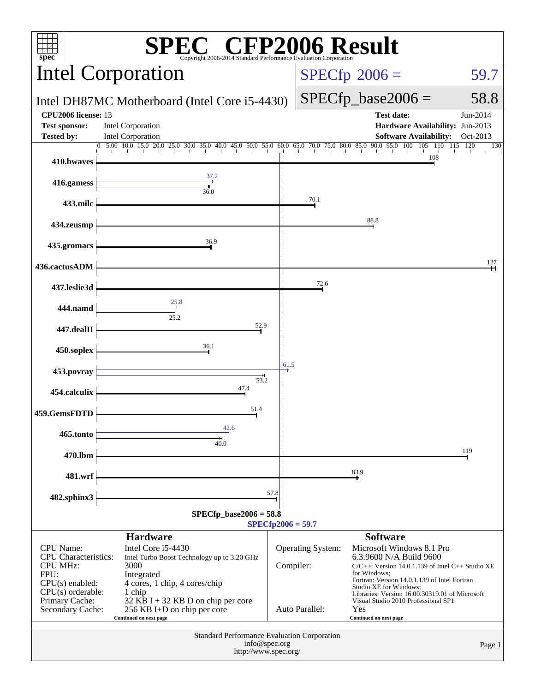| $\Gamma^{\circledast}$ CFP2006 Result<br>$spec^*$<br>Copyright 2006-2014 Standard Performance E                        |                                                                                                                                    |      |                                       |                                                                                                                                                                                                                                                           |                      |  |  |
|------------------------------------------------------------------------------------------------------------------------|------------------------------------------------------------------------------------------------------------------------------------|------|---------------------------------------|-----------------------------------------------------------------------------------------------------------------------------------------------------------------------------------------------------------------------------------------------------------|----------------------|--|--|
|                                                                                                                        | <b>Intel Corporation</b>                                                                                                           |      | $SPECfp^{\circ}2006 =$                | 59.7                                                                                                                                                                                                                                                      |                      |  |  |
|                                                                                                                        | Intel DH87MC Motherboard (Intel Core i5-4430)                                                                                      |      | $SPECfp\_base2006 =$                  | 58.8                                                                                                                                                                                                                                                      |                      |  |  |
| CPU2006 license: 13<br><b>Test sponsor:</b><br><b>Tested by:</b>                                                       | Intel Corporation<br>Intel Corporation                                                                                             |      |                                       | <b>Test date:</b><br>Hardware Availability: Jun-2013<br><b>Software Availability:</b>                                                                                                                                                                     | Jun-2014<br>Oct-2013 |  |  |
| 410.bwaves                                                                                                             | $5.00$ 10.0 15.0 20.0 25.0 30.0 35.0 40.0 45.0 50.0 55.0 60.0 65.0 70.0 75.0 80.0 85.0                                             |      |                                       | 90.0<br>95.0 100<br>105<br>110<br>108                                                                                                                                                                                                                     | 120<br>115<br>130    |  |  |
| 416.gamess                                                                                                             | 37.2<br>36.0                                                                                                                       |      |                                       |                                                                                                                                                                                                                                                           |                      |  |  |
| 433.milc                                                                                                               |                                                                                                                                    |      | 70.1                                  |                                                                                                                                                                                                                                                           |                      |  |  |
| 434.zeusmp                                                                                                             |                                                                                                                                    |      |                                       | 88.8                                                                                                                                                                                                                                                      |                      |  |  |
| 435.gromacs                                                                                                            | 36.9                                                                                                                               |      |                                       |                                                                                                                                                                                                                                                           |                      |  |  |
| 436.cactusADM                                                                                                          |                                                                                                                                    |      | 72.6                                  |                                                                                                                                                                                                                                                           | 127                  |  |  |
| 437.leslie3d<br>444.namd                                                                                               | 25.8                                                                                                                               |      |                                       |                                                                                                                                                                                                                                                           |                      |  |  |
| 447.dealII                                                                                                             | 25.2<br>52.9                                                                                                                       |      |                                       |                                                                                                                                                                                                                                                           |                      |  |  |
| 450.soplex                                                                                                             | 36.1                                                                                                                               |      |                                       |                                                                                                                                                                                                                                                           |                      |  |  |
| 453.povray                                                                                                             |                                                                                                                                    | 61.5 |                                       |                                                                                                                                                                                                                                                           |                      |  |  |
| 454.calculix                                                                                                           | 53.2<br>47.4                                                                                                                       |      |                                       |                                                                                                                                                                                                                                                           |                      |  |  |
| 459.GemsFDTD                                                                                                           | 51.4                                                                                                                               |      |                                       |                                                                                                                                                                                                                                                           |                      |  |  |
| 465.tonto                                                                                                              | 42.6<br>40.0                                                                                                                       |      |                                       |                                                                                                                                                                                                                                                           |                      |  |  |
| 470.lbm                                                                                                                |                                                                                                                                    |      |                                       | 83.9                                                                                                                                                                                                                                                      | 119                  |  |  |
| 481.wrf                                                                                                                |                                                                                                                                    | 57.8 |                                       |                                                                                                                                                                                                                                                           |                      |  |  |
| 482.sphinx3<br>$SPECfp\_base2006 = 58.8$<br>$SPECfp2006 = 59.7$                                                        |                                                                                                                                    |      |                                       |                                                                                                                                                                                                                                                           |                      |  |  |
| <b>Hardware</b><br><b>Software</b>                                                                                     |                                                                                                                                    |      |                                       |                                                                                                                                                                                                                                                           |                      |  |  |
| <b>CPU</b> Name:<br><b>CPU</b> Characteristics:<br><b>CPU MHz:</b><br>FPU:<br>$CPU(s)$ enabled:<br>$CPU(s)$ orderable: | Intel Core i5-4430<br>Intel Turbo Boost Technology up to 3.20 GHz<br>3000<br>Integrated<br>4 cores, 1 chip, 4 cores/chip<br>1 chip |      | <b>Operating System:</b><br>Compiler: | Microsoft Windows 8.1 Pro<br>6.3.9600 N/A Build 9600<br>$C/C++$ : Version 14.0.1.139 of Intel $C++$ Studio XE<br>for Windows;<br>Fortran: Version 14.0.1.139 of Intel Fortran<br>Studio XE for Windows;<br>Libraries: Version 16.00.30319.01 of Microsoft |                      |  |  |
| Primary Cache:<br>Secondary Cache:                                                                                     | $32$ KB I + 32 KB D on chip per core<br>256 KB I+D on chip per core<br>Continued on next page                                      |      | Auto Parallel:                        | Visual Studio 2010 Professional SP1<br>Yes<br>Continued on next page                                                                                                                                                                                      |                      |  |  |
| Standard Performance Evaluation Corporation                                                                            |                                                                                                                                    |      |                                       |                                                                                                                                                                                                                                                           |                      |  |  |
| info@spec.org<br>Page 1<br>http://www.spec.org/                                                                        |                                                                                                                                    |      |                                       |                                                                                                                                                                                                                                                           |                      |  |  |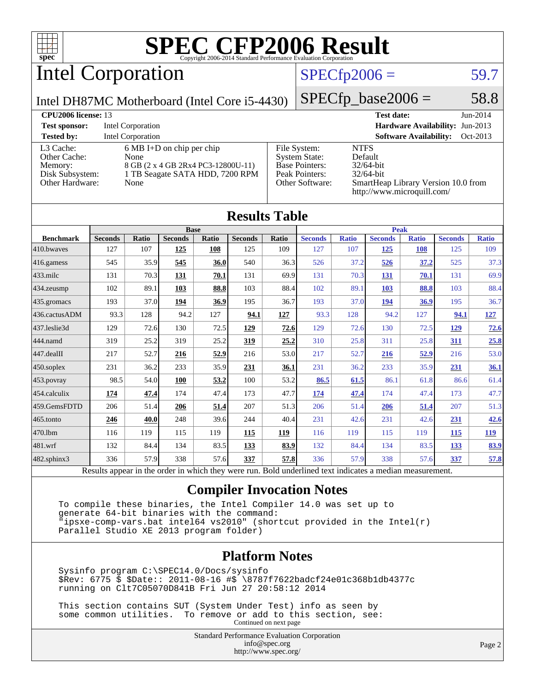

# Intel Corporation

#### $SPECfp2006 = 59.7$  $SPECfp2006 = 59.7$

Intel DH87MC Motherboard (Intel Core i5-4430)

 $SPECfp\_base2006 = 58.8$ 

| <b>CPU2006 license: 13</b>                                                 |                                                                                                                              |                                                                                                    | <b>Test date:</b><br>$Jun-2014$                                                                                             |
|----------------------------------------------------------------------------|------------------------------------------------------------------------------------------------------------------------------|----------------------------------------------------------------------------------------------------|-----------------------------------------------------------------------------------------------------------------------------|
| <b>Test sponsor:</b>                                                       | Intel Corporation                                                                                                            |                                                                                                    | <b>Hardware Availability: Jun-2013</b>                                                                                      |
| <b>Tested by:</b>                                                          | <b>Intel Corporation</b>                                                                                                     |                                                                                                    | <b>Software Availability:</b><br>Oct-2013                                                                                   |
| L3 Cache:<br>Other Cache:<br>Memory:<br>Disk Subsystem:<br>Other Hardware: | $6 \text{ MB I+D}$ on chip per chip<br>None<br>8 GB (2 x 4 GB 2Rx4 PC3-12800U-11)<br>1 TB Seagate SATA HDD, 7200 RPM<br>None | File System:<br><b>System State:</b><br><b>Base Pointers:</b><br>Peak Pointers:<br>Other Software: | <b>NTFS</b><br>Default<br>$32/64$ -bit<br>$32/64$ -bit<br>SmartHeap Library Version 10.0 from<br>http://www.microquill.com/ |

| <b>Results Table</b> |                |       |                |       |                |       |                |              |                |              |                |              |
|----------------------|----------------|-------|----------------|-------|----------------|-------|----------------|--------------|----------------|--------------|----------------|--------------|
|                      | <b>Base</b>    |       |                |       |                |       | <b>Peak</b>    |              |                |              |                |              |
| <b>Benchmark</b>     | <b>Seconds</b> | Ratio | <b>Seconds</b> | Ratio | <b>Seconds</b> | Ratio | <b>Seconds</b> | <b>Ratio</b> | <b>Seconds</b> | <b>Ratio</b> | <b>Seconds</b> | <b>Ratio</b> |
| 410.bwayes           | 127            | 107   | 125            | 108   | 125            | 109   | 127            | 107          | <u>125</u>     | 108          | 125            | 109          |
| $416$ .gamess        | 545            | 35.9  | 545            | 36.0  | 540            | 36.3  | 526            | 37.2         | 526            | 37.2         | 525            | 37.3         |
| $433$ .milc          | 131            | 70.3  | 131            | 70.1  | 131            | 69.9  | 131            | 70.3         | 131            | 70.1         | 131            | 69.9         |
| 434.zeusmp           | 102            | 89.1  | 103            | 88.8  | 103            | 88.4  | 102            | 89.1         | 103            | 88.8         | 103            | 88.4         |
| $435$ .gromacs       | 193            | 37.0  | 194            | 36.9  | 195            | 36.7  | 193            | 37.0         | 194            | 36.9         | 195            | 36.7         |
| 436.cactusADM        | 93.3           | 128   | 94.2           | 127   | 94.1           | 127   | 93.3           | 128          | 94.2           | 127          | 94.1           | <u>127</u>   |
| 437.leslie3d         | 129            | 72.6  | 130            | 72.5  | 129            | 72.6  | 129            | 72.6         | 130            | 72.5         | <u>129</u>     | 72.6         |
| 444.namd             | 319            | 25.2  | 319            | 25.2  | <u>319</u>     | 25.2  | 310            | 25.8         | 311            | 25.8         | <b>311</b>     | 25.8         |
| 447.dealII           | 217            | 52.7  | 216            | 52.9  | 216            | 53.0  | 217            | 52.7         | 216            | 52.9         | 216            | 53.0         |
| $450$ .soplex        | 231            | 36.2  | 233            | 35.9  | 231            | 36.1  | 231            | 36.2         | 233            | 35.9         | 231            | 36.1         |
| 453.povray           | 98.5           | 54.0  | 100            | 53.2  | 100            | 53.2  | 86.5           | 61.5         | 86.1           | 61.8         | 86.6           | 61.4         |
| 454.calculix         | 174            | 47.4  | 174            | 47.4  | 173            | 47.7  | 174            | 47.4         | 174            | 47.4         | 173            | 47.7         |
| 459.GemsFDTD         | 206            | 51.4  | 206            | 51.4  | 207            | 51.3  | 206            | 51.4         | 206            | 51.4         | 207            | 51.3         |
| $465$ .tonto         | 246            | 40.0  | 248            | 39.6  | 244            | 40.4  | 231            | 42.6         | 231            | 42.6         | <u>231</u>     | 42.6         |
| 470.1bm              | 116            | 119   | 115            | 119   | 115            | 119   | 116            | 119          | 115            | 119          | 115            | <u> 119</u>  |
| 481.wrf              | 132            | 84.4  | 134            | 83.5  | 133            | 83.9  | 132            | 84.4         | 134            | 83.5         | <u>133</u>     | 83.9         |
| 482.sphinx3          | 336            | 57.9  | 338            | 57.6  | 337            | 57.8  | 336            | 57.9         | 338            | 57.6         | 337            | 57.8         |

Results appear in the [order in which they were run.](http://www.spec.org/auto/cpu2006/Docs/result-fields.html#RunOrder) Bold underlined text [indicates a median measurement.](http://www.spec.org/auto/cpu2006/Docs/result-fields.html#Median)

#### **[Compiler Invocation Notes](http://www.spec.org/auto/cpu2006/Docs/result-fields.html#CompilerInvocationNotes)**

 To compile these binaries, the Intel Compiler 14.0 was set up to generate 64-bit binaries with the command: "ipsxe-comp-vars.bat intel64 vs2010" (shortcut provided in the Intel(r) Parallel Studio XE 2013 program folder)

#### **[Platform Notes](http://www.spec.org/auto/cpu2006/Docs/result-fields.html#PlatformNotes)**

 Sysinfo program C:\SPEC14.0/Docs/sysinfo \$Rev: 6775 \$ \$Date:: 2011-08-16 #\$ \8787f7622badcf24e01c368b1db4377c running on Clt7C05070D841B Fri Jun 27 20:58:12 2014

 This section contains SUT (System Under Test) info as seen by some common utilities. To remove or add to this section, see: Continued on next page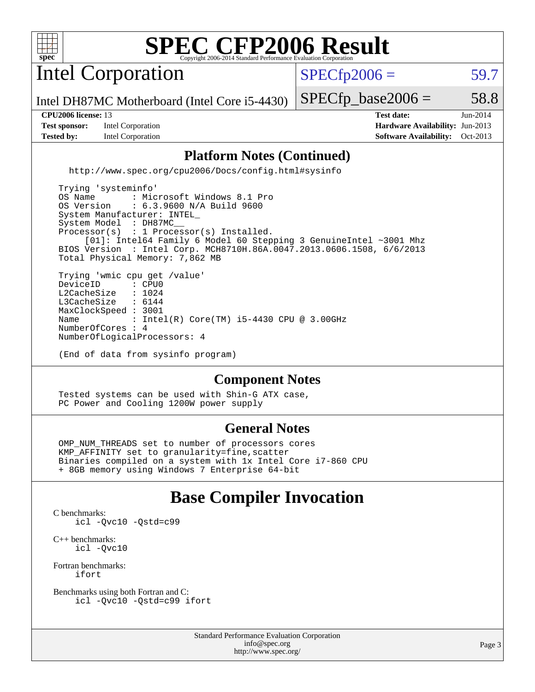

Intel Corporation

 $SPECfp2006 = 59.7$  $SPECfp2006 = 59.7$ 

Intel DH87MC Motherboard (Intel Core i5-4430)

**[Test sponsor:](http://www.spec.org/auto/cpu2006/Docs/result-fields.html#Testsponsor)** Intel Corporation **[Hardware Availability:](http://www.spec.org/auto/cpu2006/Docs/result-fields.html#HardwareAvailability)** Jun-2013 **[Tested by:](http://www.spec.org/auto/cpu2006/Docs/result-fields.html#Testedby)** Intel Corporation **[Software Availability:](http://www.spec.org/auto/cpu2006/Docs/result-fields.html#SoftwareAvailability)** Oct-2013

 $SPECTp\_base2006 = 58.8$ **[CPU2006 license:](http://www.spec.org/auto/cpu2006/Docs/result-fields.html#CPU2006license)** 13 **[Test date:](http://www.spec.org/auto/cpu2006/Docs/result-fields.html#Testdate)** Jun-2014

#### **[Platform Notes \(Continued\)](http://www.spec.org/auto/cpu2006/Docs/result-fields.html#PlatformNotes)**

<http://www.spec.org/cpu2006/Docs/config.html#sysinfo>

 Trying 'systeminfo' OS Name : Microsoft Windows 8.1 Pro<br>OS Version : 6.3.9600 N/A Build 9600 : 6.3.9600 N/A Build 9600 System Manufacturer: INTEL\_ System Model : DH87MC Processor(s) : 1 Processor(s) Installed. [01]: Intel64 Family 6 Model 60 Stepping 3 GenuineIntel ~3001 Mhz BIOS Version : Intel Corp. MCH8710H.86A.0047.2013.0606.1508, 6/6/2013 Total Physical Memory: 7,862 MB Trying 'wmic cpu get /value' DeviceID : CPU0<br>L2CacheSize : 1024 L2CacheSize : 1024<br>L3CacheSize : 6144 L3CacheSize MaxClockSpeed : 3001 Name : Intel(R) Core(TM) i5-4430 CPU @ 3.00GHz NumberOfCores : 4

NumberOfLogicalProcessors: 4

(End of data from sysinfo program)

#### **[Component Notes](http://www.spec.org/auto/cpu2006/Docs/result-fields.html#ComponentNotes)**

 Tested systems can be used with Shin-G ATX case, PC Power and Cooling 1200W power supply

#### **[General Notes](http://www.spec.org/auto/cpu2006/Docs/result-fields.html#GeneralNotes)**

 OMP\_NUM\_THREADS set to number of processors cores KMP\_AFFINITY set to granularity=fine,scatter Binaries compiled on a system with 1x Intel Core i7-860 CPU + 8GB memory using Windows 7 Enterprise 64-bit

## **[Base Compiler Invocation](http://www.spec.org/auto/cpu2006/Docs/result-fields.html#BaseCompilerInvocation)**

[C benchmarks](http://www.spec.org/auto/cpu2006/Docs/result-fields.html#Cbenchmarks): [icl -Qvc10](http://www.spec.org/cpu2006/results/res2014q3/cpu2006-20140715-30453.flags.html#user_CCbase_intel_icc_vc10_9607f3ecbcdf68042245f068e51b40c1) [-Qstd=c99](http://www.spec.org/cpu2006/results/res2014q3/cpu2006-20140715-30453.flags.html#user_CCbase_intel_compiler_c99_mode_1a3d110e3041b3ad4466830521bdad2a)

[C++ benchmarks:](http://www.spec.org/auto/cpu2006/Docs/result-fields.html#CXXbenchmarks) [icl -Qvc10](http://www.spec.org/cpu2006/results/res2014q3/cpu2006-20140715-30453.flags.html#user_CXXbase_intel_icc_vc10_9607f3ecbcdf68042245f068e51b40c1)

[Fortran benchmarks](http://www.spec.org/auto/cpu2006/Docs/result-fields.html#Fortranbenchmarks): [ifort](http://www.spec.org/cpu2006/results/res2014q3/cpu2006-20140715-30453.flags.html#user_FCbase_intel_ifort_8a5e5e06b19a251bdeaf8fdab5d62f20)

[Benchmarks using both Fortran and C](http://www.spec.org/auto/cpu2006/Docs/result-fields.html#BenchmarksusingbothFortranandC): [icl -Qvc10](http://www.spec.org/cpu2006/results/res2014q3/cpu2006-20140715-30453.flags.html#user_CC_FCbase_intel_icc_vc10_9607f3ecbcdf68042245f068e51b40c1) [-Qstd=c99](http://www.spec.org/cpu2006/results/res2014q3/cpu2006-20140715-30453.flags.html#user_CC_FCbase_intel_compiler_c99_mode_1a3d110e3041b3ad4466830521bdad2a) [ifort](http://www.spec.org/cpu2006/results/res2014q3/cpu2006-20140715-30453.flags.html#user_CC_FCbase_intel_ifort_8a5e5e06b19a251bdeaf8fdab5d62f20)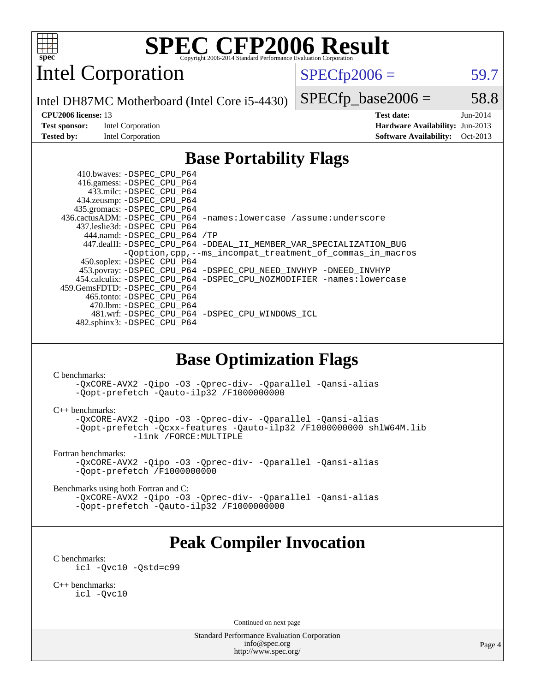

Intel Corporation

 $SPECfp2006 = 59.7$  $SPECfp2006 = 59.7$ 

Intel DH87MC Motherboard (Intel Core i5-4430)

**[Test sponsor:](http://www.spec.org/auto/cpu2006/Docs/result-fields.html#Testsponsor)** Intel Corporation **[Hardware Availability:](http://www.spec.org/auto/cpu2006/Docs/result-fields.html#HardwareAvailability)** Jun-2013

 $SPECTp\_base2006 = 58.8$ 

**[CPU2006 license:](http://www.spec.org/auto/cpu2006/Docs/result-fields.html#CPU2006license)** 13 **[Test date:](http://www.spec.org/auto/cpu2006/Docs/result-fields.html#Testdate)** Jun-2014 **[Tested by:](http://www.spec.org/auto/cpu2006/Docs/result-fields.html#Testedby)** Intel Corporation **[Software Availability:](http://www.spec.org/auto/cpu2006/Docs/result-fields.html#SoftwareAvailability)** Oct-2013

## **[Base Portability Flags](http://www.spec.org/auto/cpu2006/Docs/result-fields.html#BasePortabilityFlags)**

 410.bwaves: [-DSPEC\\_CPU\\_P64](http://www.spec.org/cpu2006/results/res2014q3/cpu2006-20140715-30453.flags.html#suite_basePORTABILITY410_bwaves_DSPEC_CPU_P64) 416.gamess: [-DSPEC\\_CPU\\_P64](http://www.spec.org/cpu2006/results/res2014q3/cpu2006-20140715-30453.flags.html#suite_basePORTABILITY416_gamess_DSPEC_CPU_P64) 433.milc: [-DSPEC\\_CPU\\_P64](http://www.spec.org/cpu2006/results/res2014q3/cpu2006-20140715-30453.flags.html#suite_basePORTABILITY433_milc_DSPEC_CPU_P64) 434.zeusmp: [-DSPEC\\_CPU\\_P64](http://www.spec.org/cpu2006/results/res2014q3/cpu2006-20140715-30453.flags.html#suite_basePORTABILITY434_zeusmp_DSPEC_CPU_P64) 435.gromacs: [-DSPEC\\_CPU\\_P64](http://www.spec.org/cpu2006/results/res2014q3/cpu2006-20140715-30453.flags.html#suite_basePORTABILITY435_gromacs_DSPEC_CPU_P64) 436.cactusADM: [-DSPEC\\_CPU\\_P64](http://www.spec.org/cpu2006/results/res2014q3/cpu2006-20140715-30453.flags.html#suite_basePORTABILITY436_cactusADM_DSPEC_CPU_P64) [-names:lowercase](http://www.spec.org/cpu2006/results/res2014q3/cpu2006-20140715-30453.flags.html#user_baseFPORTABILITY436_cactusADM_lowercase_routine_name_fa09b8c93d90fdc7bf4c1a91694c3a84) [/assume:underscore](http://www.spec.org/cpu2006/results/res2014q3/cpu2006-20140715-30453.flags.html#user_baseFPORTABILITY436_cactusADM_add-underscore_to_routine_name_0c7c658d9e5eb8b86e282975775768a4) 437.leslie3d: [-DSPEC\\_CPU\\_P64](http://www.spec.org/cpu2006/results/res2014q3/cpu2006-20140715-30453.flags.html#suite_basePORTABILITY437_leslie3d_DSPEC_CPU_P64) 444.namd: [-DSPEC\\_CPU\\_P64](http://www.spec.org/cpu2006/results/res2014q3/cpu2006-20140715-30453.flags.html#suite_basePORTABILITY444_namd_DSPEC_CPU_P64) [/TP](http://www.spec.org/cpu2006/results/res2014q3/cpu2006-20140715-30453.flags.html#user_baseCXXPORTABILITY444_namd_assume_cplusplus_sources_73f79b6e94f79d415caf1b69b30a60d8) 447.dealII: [-DSPEC\\_CPU\\_P64](http://www.spec.org/cpu2006/results/res2014q3/cpu2006-20140715-30453.flags.html#suite_basePORTABILITY447_dealII_DSPEC_CPU_P64) [-DDEAL\\_II\\_MEMBER\\_VAR\\_SPECIALIZATION\\_BUG](http://www.spec.org/cpu2006/results/res2014q3/cpu2006-20140715-30453.flags.html#b447.dealII_baseCXXPORTABILITY_DDEAL_II_MEMBER_VAR_SPECIALIZATION_BUG) [-Qoption,cpp,--ms\\_incompat\\_treatment\\_of\\_commas\\_in\\_macros](http://www.spec.org/cpu2006/results/res2014q3/cpu2006-20140715-30453.flags.html#user_baseCXXPORTABILITY447_dealII_workaround_for_incompat_commas_in_macros_371e7208d1728f07541b35505d65f89c) 450.soplex: [-DSPEC\\_CPU\\_P64](http://www.spec.org/cpu2006/results/res2014q3/cpu2006-20140715-30453.flags.html#suite_basePORTABILITY450_soplex_DSPEC_CPU_P64) 453.povray: [-DSPEC\\_CPU\\_P64](http://www.spec.org/cpu2006/results/res2014q3/cpu2006-20140715-30453.flags.html#suite_basePORTABILITY453_povray_DSPEC_CPU_P64) [-DSPEC\\_CPU\\_NEED\\_INVHYP](http://www.spec.org/cpu2006/results/res2014q3/cpu2006-20140715-30453.flags.html#b453.povray_baseCXXPORTABILITY_DSPEC_CPU_NEED_INVHYP) [-DNEED\\_INVHYP](http://www.spec.org/cpu2006/results/res2014q3/cpu2006-20140715-30453.flags.html#b453.povray_baseCXXPORTABILITY_DNEED_INVHYP) 454.calculix: [-DSPEC\\_CPU\\_P64](http://www.spec.org/cpu2006/results/res2014q3/cpu2006-20140715-30453.flags.html#suite_basePORTABILITY454_calculix_DSPEC_CPU_P64) [-DSPEC\\_CPU\\_NOZMODIFIER](http://www.spec.org/cpu2006/results/res2014q3/cpu2006-20140715-30453.flags.html#b454.calculix_baseCPORTABILITY_DSPEC_CPU_NOZMODIFIER) [-names:lowercase](http://www.spec.org/cpu2006/results/res2014q3/cpu2006-20140715-30453.flags.html#user_baseFPORTABILITY454_calculix_lowercase_routine_name_fa09b8c93d90fdc7bf4c1a91694c3a84) 459.GemsFDTD: [-DSPEC\\_CPU\\_P64](http://www.spec.org/cpu2006/results/res2014q3/cpu2006-20140715-30453.flags.html#suite_basePORTABILITY459_GemsFDTD_DSPEC_CPU_P64) 465.tonto: [-DSPEC\\_CPU\\_P64](http://www.spec.org/cpu2006/results/res2014q3/cpu2006-20140715-30453.flags.html#suite_basePORTABILITY465_tonto_DSPEC_CPU_P64) 470.lbm: [-DSPEC\\_CPU\\_P64](http://www.spec.org/cpu2006/results/res2014q3/cpu2006-20140715-30453.flags.html#suite_basePORTABILITY470_lbm_DSPEC_CPU_P64) 481.wrf: [-DSPEC\\_CPU\\_P64](http://www.spec.org/cpu2006/results/res2014q3/cpu2006-20140715-30453.flags.html#suite_basePORTABILITY481_wrf_DSPEC_CPU_P64) [-DSPEC\\_CPU\\_WINDOWS\\_ICL](http://www.spec.org/cpu2006/results/res2014q3/cpu2006-20140715-30453.flags.html#b481.wrf_baseCPORTABILITY_DSPEC_CPU_WINDOWS_ICL) 482.sphinx3: [-DSPEC\\_CPU\\_P64](http://www.spec.org/cpu2006/results/res2014q3/cpu2006-20140715-30453.flags.html#suite_basePORTABILITY482_sphinx3_DSPEC_CPU_P64)

### **[Base Optimization Flags](http://www.spec.org/auto/cpu2006/Docs/result-fields.html#BaseOptimizationFlags)**

[C benchmarks](http://www.spec.org/auto/cpu2006/Docs/result-fields.html#Cbenchmarks):

[-QxCORE-AVX2](http://www.spec.org/cpu2006/results/res2014q3/cpu2006-20140715-30453.flags.html#user_CCbase_f-QxAVX2_f98716b5f9e905f99c943c56f21bf430) [-Qipo](http://www.spec.org/cpu2006/results/res2014q3/cpu2006-20140715-30453.flags.html#user_CCbase_f-Qipo) [-O3](http://www.spec.org/cpu2006/results/res2014q3/cpu2006-20140715-30453.flags.html#user_CCbase_f-O3) [-Qprec-div-](http://www.spec.org/cpu2006/results/res2014q3/cpu2006-20140715-30453.flags.html#user_CCbase_f-Qprec-div-) [-Qparallel](http://www.spec.org/cpu2006/results/res2014q3/cpu2006-20140715-30453.flags.html#user_CCbase_f-Qparallel) [-Qansi-alias](http://www.spec.org/cpu2006/results/res2014q3/cpu2006-20140715-30453.flags.html#user_CCbase_f-Qansi-alias) [-Qopt-prefetch](http://www.spec.org/cpu2006/results/res2014q3/cpu2006-20140715-30453.flags.html#user_CCbase_f-Qprefetch_37c211608666b9dff9380561f602f0a8) [-Qauto-ilp32](http://www.spec.org/cpu2006/results/res2014q3/cpu2006-20140715-30453.flags.html#user_CCbase_f-Qauto-ilp32) [/F1000000000](http://www.spec.org/cpu2006/results/res2014q3/cpu2006-20140715-30453.flags.html#user_CCbase_set_stack_space_25d7749c1988d91b7f93afbc0ec53727)

[C++ benchmarks:](http://www.spec.org/auto/cpu2006/Docs/result-fields.html#CXXbenchmarks)

[-QxCORE-AVX2](http://www.spec.org/cpu2006/results/res2014q3/cpu2006-20140715-30453.flags.html#user_CXXbase_f-QxAVX2_f98716b5f9e905f99c943c56f21bf430) [-Qipo](http://www.spec.org/cpu2006/results/res2014q3/cpu2006-20140715-30453.flags.html#user_CXXbase_f-Qipo) [-O3](http://www.spec.org/cpu2006/results/res2014q3/cpu2006-20140715-30453.flags.html#user_CXXbase_f-O3) [-Qprec-div-](http://www.spec.org/cpu2006/results/res2014q3/cpu2006-20140715-30453.flags.html#user_CXXbase_f-Qprec-div-) [-Qparallel](http://www.spec.org/cpu2006/results/res2014q3/cpu2006-20140715-30453.flags.html#user_CXXbase_f-Qparallel) [-Qansi-alias](http://www.spec.org/cpu2006/results/res2014q3/cpu2006-20140715-30453.flags.html#user_CXXbase_f-Qansi-alias) [-Qopt-prefetch](http://www.spec.org/cpu2006/results/res2014q3/cpu2006-20140715-30453.flags.html#user_CXXbase_f-Qprefetch_37c211608666b9dff9380561f602f0a8) [-Qcxx-features](http://www.spec.org/cpu2006/results/res2014q3/cpu2006-20140715-30453.flags.html#user_CXXbase_f-Qcxx_features_dbf36c8a6dba956e22f1645e4dcd4d98) [-Qauto-ilp32](http://www.spec.org/cpu2006/results/res2014q3/cpu2006-20140715-30453.flags.html#user_CXXbase_f-Qauto-ilp32) [/F1000000000](http://www.spec.org/cpu2006/results/res2014q3/cpu2006-20140715-30453.flags.html#user_CXXbase_set_stack_space_25d7749c1988d91b7f93afbc0ec53727) [shlW64M.lib](http://www.spec.org/cpu2006/results/res2014q3/cpu2006-20140715-30453.flags.html#user_CXXbase_SmartHeap64_c4f7f76711bdf8c0633a5c1edf6e5396)  [-link /FORCE:MULTIPLE](http://www.spec.org/cpu2006/results/res2014q3/cpu2006-20140715-30453.flags.html#user_CXXbase_link_force_multiple2_070fe330869edf77077b841074b8b0b6)

[Fortran benchmarks](http://www.spec.org/auto/cpu2006/Docs/result-fields.html#Fortranbenchmarks):

[-QxCORE-AVX2](http://www.spec.org/cpu2006/results/res2014q3/cpu2006-20140715-30453.flags.html#user_FCbase_f-QxAVX2_f98716b5f9e905f99c943c56f21bf430) [-Qipo](http://www.spec.org/cpu2006/results/res2014q3/cpu2006-20140715-30453.flags.html#user_FCbase_f-Qipo) [-O3](http://www.spec.org/cpu2006/results/res2014q3/cpu2006-20140715-30453.flags.html#user_FCbase_f-O3) [-Qprec-div-](http://www.spec.org/cpu2006/results/res2014q3/cpu2006-20140715-30453.flags.html#user_FCbase_f-Qprec-div-) [-Qparallel](http://www.spec.org/cpu2006/results/res2014q3/cpu2006-20140715-30453.flags.html#user_FCbase_f-Qparallel) [-Qansi-alias](http://www.spec.org/cpu2006/results/res2014q3/cpu2006-20140715-30453.flags.html#user_FCbase_f-Qansi-alias) [-Qopt-prefetch](http://www.spec.org/cpu2006/results/res2014q3/cpu2006-20140715-30453.flags.html#user_FCbase_f-Qprefetch_37c211608666b9dff9380561f602f0a8) [/F1000000000](http://www.spec.org/cpu2006/results/res2014q3/cpu2006-20140715-30453.flags.html#user_FCbase_set_stack_space_25d7749c1988d91b7f93afbc0ec53727)

[Benchmarks using both Fortran and C](http://www.spec.org/auto/cpu2006/Docs/result-fields.html#BenchmarksusingbothFortranandC):

[-QxCORE-AVX2](http://www.spec.org/cpu2006/results/res2014q3/cpu2006-20140715-30453.flags.html#user_CC_FCbase_f-QxAVX2_f98716b5f9e905f99c943c56f21bf430) [-Qipo](http://www.spec.org/cpu2006/results/res2014q3/cpu2006-20140715-30453.flags.html#user_CC_FCbase_f-Qipo) [-O3](http://www.spec.org/cpu2006/results/res2014q3/cpu2006-20140715-30453.flags.html#user_CC_FCbase_f-O3) [-Qprec-div-](http://www.spec.org/cpu2006/results/res2014q3/cpu2006-20140715-30453.flags.html#user_CC_FCbase_f-Qprec-div-) [-Qparallel](http://www.spec.org/cpu2006/results/res2014q3/cpu2006-20140715-30453.flags.html#user_CC_FCbase_f-Qparallel) [-Qansi-alias](http://www.spec.org/cpu2006/results/res2014q3/cpu2006-20140715-30453.flags.html#user_CC_FCbase_f-Qansi-alias) [-Qopt-prefetch](http://www.spec.org/cpu2006/results/res2014q3/cpu2006-20140715-30453.flags.html#user_CC_FCbase_f-Qprefetch_37c211608666b9dff9380561f602f0a8) [-Qauto-ilp32](http://www.spec.org/cpu2006/results/res2014q3/cpu2006-20140715-30453.flags.html#user_CC_FCbase_f-Qauto-ilp32) [/F1000000000](http://www.spec.org/cpu2006/results/res2014q3/cpu2006-20140715-30453.flags.html#user_CC_FCbase_set_stack_space_25d7749c1988d91b7f93afbc0ec53727)

## **[Peak Compiler Invocation](http://www.spec.org/auto/cpu2006/Docs/result-fields.html#PeakCompilerInvocation)**

[C benchmarks](http://www.spec.org/auto/cpu2006/Docs/result-fields.html#Cbenchmarks):

[icl -Qvc10](http://www.spec.org/cpu2006/results/res2014q3/cpu2006-20140715-30453.flags.html#user_CCpeak_intel_icc_vc10_9607f3ecbcdf68042245f068e51b40c1) [-Qstd=c99](http://www.spec.org/cpu2006/results/res2014q3/cpu2006-20140715-30453.flags.html#user_CCpeak_intel_compiler_c99_mode_1a3d110e3041b3ad4466830521bdad2a)

[C++ benchmarks:](http://www.spec.org/auto/cpu2006/Docs/result-fields.html#CXXbenchmarks) [icl -Qvc10](http://www.spec.org/cpu2006/results/res2014q3/cpu2006-20140715-30453.flags.html#user_CXXpeak_intel_icc_vc10_9607f3ecbcdf68042245f068e51b40c1)

Continued on next page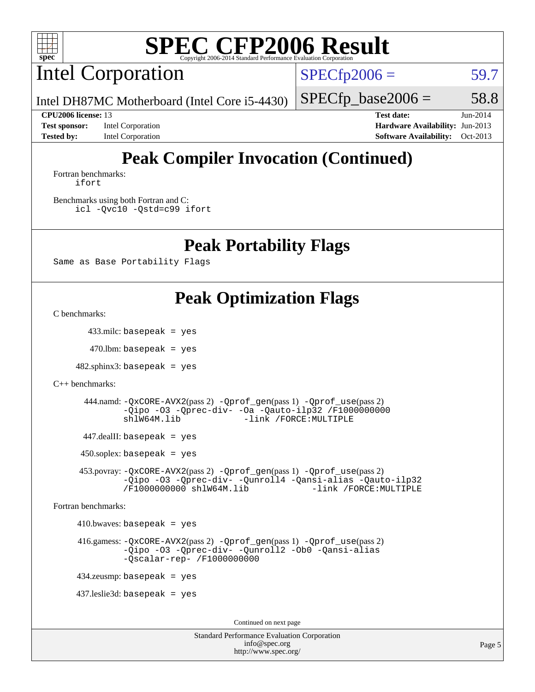

Intel Corporation

 $SPECfp2006 = 59.7$  $SPECfp2006 = 59.7$ 

Intel DH87MC Motherboard (Intel Core i5-4430)

 $SPECTp\_base2006 = 58.8$ 

**[Test sponsor:](http://www.spec.org/auto/cpu2006/Docs/result-fields.html#Testsponsor)** Intel Corporation **[Hardware Availability:](http://www.spec.org/auto/cpu2006/Docs/result-fields.html#HardwareAvailability)** Jun-2013

**[CPU2006 license:](http://www.spec.org/auto/cpu2006/Docs/result-fields.html#CPU2006license)** 13 **[Test date:](http://www.spec.org/auto/cpu2006/Docs/result-fields.html#Testdate)** Jun-2014 **[Tested by:](http://www.spec.org/auto/cpu2006/Docs/result-fields.html#Testedby)** Intel Corporation **[Software Availability:](http://www.spec.org/auto/cpu2006/Docs/result-fields.html#SoftwareAvailability)** Oct-2013

# **[Peak Compiler Invocation \(Continued\)](http://www.spec.org/auto/cpu2006/Docs/result-fields.html#PeakCompilerInvocation)**

[Fortran benchmarks](http://www.spec.org/auto/cpu2006/Docs/result-fields.html#Fortranbenchmarks): [ifort](http://www.spec.org/cpu2006/results/res2014q3/cpu2006-20140715-30453.flags.html#user_FCpeak_intel_ifort_8a5e5e06b19a251bdeaf8fdab5d62f20)

[Benchmarks using both Fortran and C](http://www.spec.org/auto/cpu2006/Docs/result-fields.html#BenchmarksusingbothFortranandC): [icl -Qvc10](http://www.spec.org/cpu2006/results/res2014q3/cpu2006-20140715-30453.flags.html#user_CC_FCpeak_intel_icc_vc10_9607f3ecbcdf68042245f068e51b40c1) [-Qstd=c99](http://www.spec.org/cpu2006/results/res2014q3/cpu2006-20140715-30453.flags.html#user_CC_FCpeak_intel_compiler_c99_mode_1a3d110e3041b3ad4466830521bdad2a) [ifort](http://www.spec.org/cpu2006/results/res2014q3/cpu2006-20140715-30453.flags.html#user_CC_FCpeak_intel_ifort_8a5e5e06b19a251bdeaf8fdab5d62f20)

### **[Peak Portability Flags](http://www.spec.org/auto/cpu2006/Docs/result-fields.html#PeakPortabilityFlags)**

Same as Base Portability Flags

## **[Peak Optimization Flags](http://www.spec.org/auto/cpu2006/Docs/result-fields.html#PeakOptimizationFlags)**

[C benchmarks](http://www.spec.org/auto/cpu2006/Docs/result-fields.html#Cbenchmarks):

433.milc: basepeak = yes

 $470$ .lbm: basepeak = yes

 $482$ .sphinx $3$ : basepeak = yes

[C++ benchmarks:](http://www.spec.org/auto/cpu2006/Docs/result-fields.html#CXXbenchmarks)

 444.namd: [-QxCORE-AVX2](http://www.spec.org/cpu2006/results/res2014q3/cpu2006-20140715-30453.flags.html#user_peakPASS2_CXXFLAGSPASS2_LDFLAGS444_namd_f-QxAVX2_f98716b5f9e905f99c943c56f21bf430)(pass 2) [-Qprof\\_gen](http://www.spec.org/cpu2006/results/res2014q3/cpu2006-20140715-30453.flags.html#user_peakPASS1_CXXFLAGSPASS1_LDFLAGS444_namd_Qprof_gen)(pass 1) [-Qprof\\_use](http://www.spec.org/cpu2006/results/res2014q3/cpu2006-20140715-30453.flags.html#user_peakPASS2_CXXFLAGSPASS2_LDFLAGS444_namd_Qprof_use)(pass 2) [-Qipo](http://www.spec.org/cpu2006/results/res2014q3/cpu2006-20140715-30453.flags.html#user_peakOPTIMIZE444_namd_f-Qipo) [-O3](http://www.spec.org/cpu2006/results/res2014q3/cpu2006-20140715-30453.flags.html#user_peakOPTIMIZE444_namd_f-O3) [-Qprec-div-](http://www.spec.org/cpu2006/results/res2014q3/cpu2006-20140715-30453.flags.html#user_peakOPTIMIZE444_namd_f-Qprec-div-) [-Oa](http://www.spec.org/cpu2006/results/res2014q3/cpu2006-20140715-30453.flags.html#user_peakOPTIMIZE444_namd_f-Oa) [-Qauto-ilp32](http://www.spec.org/cpu2006/results/res2014q3/cpu2006-20140715-30453.flags.html#user_peakCXXOPTIMIZE444_namd_f-Qauto-ilp32) [/F1000000000](http://www.spec.org/cpu2006/results/res2014q3/cpu2006-20140715-30453.flags.html#user_peakEXTRA_LDFLAGS444_namd_set_stack_space_25d7749c1988d91b7f93afbc0ec53727) [shlW64M.lib](http://www.spec.org/cpu2006/results/res2014q3/cpu2006-20140715-30453.flags.html#user_peakEXTRA_LIBS444_namd_SmartHeap64_c4f7f76711bdf8c0633a5c1edf6e5396) [-link /FORCE:MULTIPLE](http://www.spec.org/cpu2006/results/res2014q3/cpu2006-20140715-30453.flags.html#user_peakLDOUT444_namd_link_force_multiple2_070fe330869edf77077b841074b8b0b6)

447.dealII: basepeak = yes

 $450$ .soplex: basepeak = yes

 453.povray: [-QxCORE-AVX2](http://www.spec.org/cpu2006/results/res2014q3/cpu2006-20140715-30453.flags.html#user_peakPASS2_CXXFLAGSPASS2_LDFLAGS453_povray_f-QxAVX2_f98716b5f9e905f99c943c56f21bf430)(pass 2) [-Qprof\\_gen](http://www.spec.org/cpu2006/results/res2014q3/cpu2006-20140715-30453.flags.html#user_peakPASS1_CXXFLAGSPASS1_LDFLAGS453_povray_Qprof_gen)(pass 1) [-Qprof\\_use](http://www.spec.org/cpu2006/results/res2014q3/cpu2006-20140715-30453.flags.html#user_peakPASS2_CXXFLAGSPASS2_LDFLAGS453_povray_Qprof_use)(pass 2) [-Qipo](http://www.spec.org/cpu2006/results/res2014q3/cpu2006-20140715-30453.flags.html#user_peakOPTIMIZE453_povray_f-Qipo) [-O3](http://www.spec.org/cpu2006/results/res2014q3/cpu2006-20140715-30453.flags.html#user_peakOPTIMIZE453_povray_f-O3) [-Qprec-div-](http://www.spec.org/cpu2006/results/res2014q3/cpu2006-20140715-30453.flags.html#user_peakOPTIMIZE453_povray_f-Qprec-div-) [-Qunroll4](http://www.spec.org/cpu2006/results/res2014q3/cpu2006-20140715-30453.flags.html#user_peakOPTIMIZE453_povray_f-Qunroll_013b1c0ea3aa84ef2c65e488bcc3d968) [-Qansi-alias](http://www.spec.org/cpu2006/results/res2014q3/cpu2006-20140715-30453.flags.html#user_peakOPTIMIZE453_povray_f-Qansi-alias) [-Qauto-ilp32](http://www.spec.org/cpu2006/results/res2014q3/cpu2006-20140715-30453.flags.html#user_peakCXXOPTIMIZE453_povray_f-Qauto-ilp32) [/F1000000000](http://www.spec.org/cpu2006/results/res2014q3/cpu2006-20140715-30453.flags.html#user_peakEXTRA_LDFLAGS453_povray_set_stack_space_25d7749c1988d91b7f93afbc0ec53727) [shlW64M.lib](http://www.spec.org/cpu2006/results/res2014q3/cpu2006-20140715-30453.flags.html#user_peakEXTRA_LIBS453_povray_SmartHeap64_c4f7f76711bdf8c0633a5c1edf6e5396)

[Fortran benchmarks](http://www.spec.org/auto/cpu2006/Docs/result-fields.html#Fortranbenchmarks):

 $410.bwaves: basepeak = yes$ 

 416.gamess: [-QxCORE-AVX2](http://www.spec.org/cpu2006/results/res2014q3/cpu2006-20140715-30453.flags.html#user_peakPASS2_FFLAGSPASS2_LDFLAGS416_gamess_f-QxAVX2_f98716b5f9e905f99c943c56f21bf430)(pass 2) [-Qprof\\_gen](http://www.spec.org/cpu2006/results/res2014q3/cpu2006-20140715-30453.flags.html#user_peakPASS1_FFLAGSPASS1_LDFLAGS416_gamess_Qprof_gen)(pass 1) [-Qprof\\_use](http://www.spec.org/cpu2006/results/res2014q3/cpu2006-20140715-30453.flags.html#user_peakPASS2_FFLAGSPASS2_LDFLAGS416_gamess_Qprof_use)(pass 2) [-Qipo](http://www.spec.org/cpu2006/results/res2014q3/cpu2006-20140715-30453.flags.html#user_peakOPTIMIZE416_gamess_f-Qipo) [-O3](http://www.spec.org/cpu2006/results/res2014q3/cpu2006-20140715-30453.flags.html#user_peakOPTIMIZE416_gamess_f-O3) [-Qprec-div-](http://www.spec.org/cpu2006/results/res2014q3/cpu2006-20140715-30453.flags.html#user_peakOPTIMIZE416_gamess_f-Qprec-div-) [-Qunroll2](http://www.spec.org/cpu2006/results/res2014q3/cpu2006-20140715-30453.flags.html#user_peakOPTIMIZE416_gamess_f-Qunroll_1d9456aa650e77fc2a0cf43cef3fa08c) [-Ob0](http://www.spec.org/cpu2006/results/res2014q3/cpu2006-20140715-30453.flags.html#user_peakOPTIMIZE416_gamess_f-Ob_n_fbe6f6428adb7d4b74b1e99bb2444c2d) [-Qansi-alias](http://www.spec.org/cpu2006/results/res2014q3/cpu2006-20140715-30453.flags.html#user_peakOPTIMIZE416_gamess_f-Qansi-alias) [-Qscalar-rep-](http://www.spec.org/cpu2006/results/res2014q3/cpu2006-20140715-30453.flags.html#user_peakOPTIMIZE416_gamess_f-Qscalar-rep_02cb9e11a5340d80ab3062d84e5dfb2e) [/F1000000000](http://www.spec.org/cpu2006/results/res2014q3/cpu2006-20140715-30453.flags.html#user_peakEXTRA_LDFLAGS416_gamess_set_stack_space_25d7749c1988d91b7f93afbc0ec53727)

434.zeusmp: basepeak = yes

437.leslie3d: basepeak = yes

Continued on next page